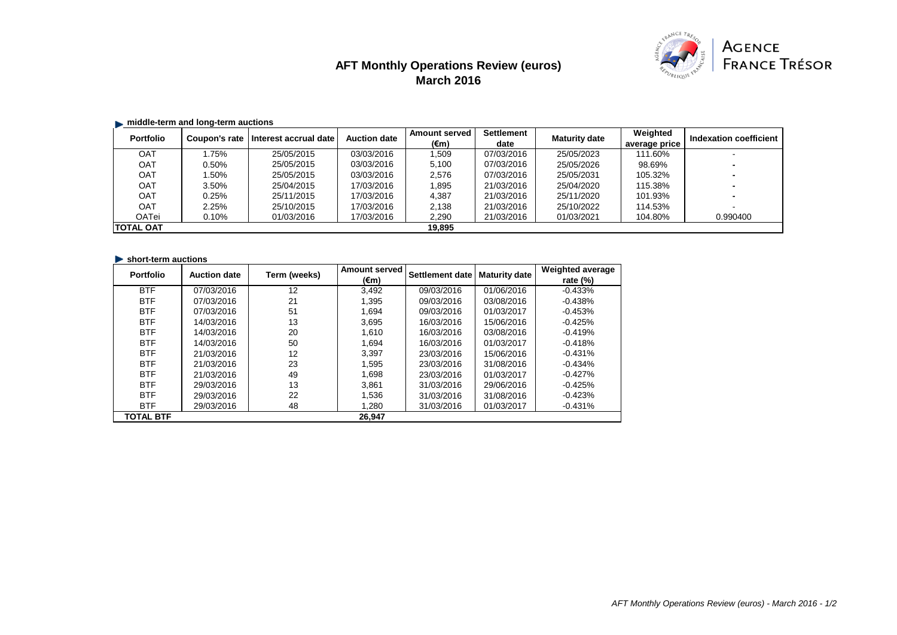# **AFT Monthly Operations Review (euros) March 2016**



## $\blacksquare$  middle-term and long-term auctions

| <b>Portfolio</b> | Coupon's rate | Interest accrual date | <b>Auction date</b> | <b>Amount served</b> | <b>Settlement</b> | <b>Maturity date</b> | Weighted      | Indexation coefficient |
|------------------|---------------|-----------------------|---------------------|----------------------|-------------------|----------------------|---------------|------------------------|
|                  |               |                       |                     | (€m)                 | date              |                      | average price |                        |
| <b>OAT</b>       | .75%          | 25/05/2015            | 03/03/2016          | 1.509                | 07/03/2016        | 25/05/2023           | 111.60%       |                        |
| <b>OAT</b>       | 0.50%         | 25/05/2015            | 03/03/2016          | 5,100                | 07/03/2016        | 25/05/2026           | 98.69%        |                        |
| <b>OAT</b>       | .50%          | 25/05/2015            | 03/03/2016          | 2,576                | 07/03/2016        | 25/05/2031           | 105.32%       |                        |
| <b>OAT</b>       | 3.50%         | 25/04/2015            | 17/03/2016          | 1,895                | 21/03/2016        | 25/04/2020           | 115.38%       |                        |
| <b>OAT</b>       | 0.25%         | 25/11/2015            | 17/03/2016          | 4,387                | 21/03/2016        | 25/11/2020           | 101.93%       |                        |
| <b>OAT</b>       | 2.25%         | 25/10/2015            | 17/03/2016          | 2,138                | 21/03/2016        | 25/10/2022           | 114.53%       |                        |
| OATei            | 0.10%         | 01/03/2016            | 17/03/2016          | 2,290                | 21/03/2016        | 01/03/2021           | 104.80%       | 0.990400               |
| <b>TOTAL OAT</b> |               |                       |                     | 19.895               |                   |                      |               |                        |

#### **In short-term auctions**

| <b>Portfolio</b> | <b>Auction date</b> | Term (weeks) | <b>Amount served</b> | Settlement date | <b>Maturity date</b> | <b>Weighted average</b> |
|------------------|---------------------|--------------|----------------------|-----------------|----------------------|-------------------------|
|                  |                     |              | (€m)                 |                 |                      | rate $(\%)$             |
| <b>BTF</b>       | 07/03/2016          | 12           | 3,492                | 09/03/2016      | 01/06/2016           | $-0.433%$               |
| <b>BTF</b>       | 07/03/2016          | 21           | 1.395                | 09/03/2016      | 03/08/2016           | $-0.438%$               |
| <b>BTF</b>       | 07/03/2016          | 51           | 1.694                | 09/03/2016      | 01/03/2017           | $-0.453%$               |
| <b>BTF</b>       | 14/03/2016          | 13           | 3.695                | 16/03/2016      | 15/06/2016           | $-0.425%$               |
| <b>BTF</b>       | 14/03/2016          | 20           | 1.610                | 16/03/2016      | 03/08/2016           | $-0.419%$               |
| <b>BTF</b>       | 14/03/2016          | 50           | 1.694                | 16/03/2016      | 01/03/2017           | $-0.418%$               |
| <b>BTF</b>       | 21/03/2016          | 12           | 3.397                | 23/03/2016      | 15/06/2016           | $-0.431%$               |
| <b>BTF</b>       | 21/03/2016          | 23           | 1.595                | 23/03/2016      | 31/08/2016           | $-0.434%$               |
| <b>BTF</b>       | 21/03/2016          | 49           | 1.698                | 23/03/2016      | 01/03/2017           | $-0.427%$               |
| <b>BTF</b>       | 29/03/2016          | 13           | 3.861                | 31/03/2016      | 29/06/2016           | $-0.425%$               |
| <b>BTF</b>       | 29/03/2016          | 22           | 1,536                | 31/03/2016      | 31/08/2016           | $-0.423%$               |
| <b>BTF</b>       | 29/03/2016          | 48           | 1.280                | 31/03/2016      | 01/03/2017           | $-0.431%$               |
| <b>TOTAL BTF</b> |                     |              | 26,947               |                 |                      |                         |